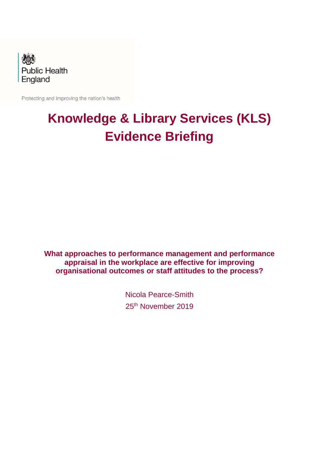

Protecting and improving the nation's health

# **Knowledge & Library Services (KLS) Evidence Briefing**

**What approaches to performance management and performance appraisal in the workplace are effective for improving organisational outcomes or staff attitudes to the process?**

> Nicola Pearce-Smith 25<sup>th</sup> November 2019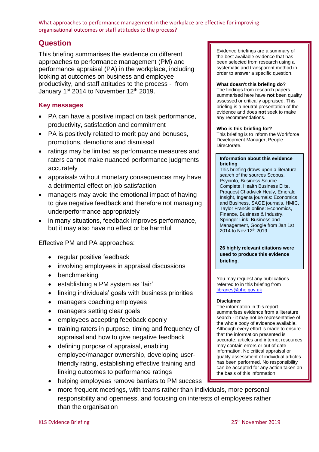# **Question**

This briefing summarises the evidence on different approaches to performance management (PM) and performance appraisal (PA) in the workplace, including looking at outcomes on business and employee productivity, and staff attitudes to the process - from January 1st 2014 to November 12th 2019.

#### **Key messages**

- PA can have a positive impact on task performance, productivity, satisfaction and commitment
- PA is positively related to merit pay and bonuses, promotions, demotions and dismissal
- ratings may be limited as performance measures and raters cannot make nuanced performance judgments accurately
- appraisals without monetary consequences may have a detrimental effect on job satisfaction
- managers may avoid the emotional impact of having to give negative feedback and therefore not managing underperformance appropriately
- in many situations, feedback improves performance, but it may also have no effect or be harmful

Effective PM and PA approaches:

- regular positive feedback
- involving employees in appraisal discussions
- benchmarking
- establishing a PM system as 'fair'
- linking individuals' goals with business priorities
- managers coaching employees
- managers setting clear goals
- employees accepting feedback openly
- training raters in purpose, timing and frequency of appraisal and how to give negative feedback
- defining purpose of appraisal, enabling employee/manager ownership, developing userfriendly rating, establishing effective training and linking outcomes to performance ratings
- helping employees remove barriers to PM success
- more frequent meetings, with teams rather than individuals, more personal responsibility and openness, and focusing on interests of employees rather than the organisation

Evidence briefings are a summary of the best available evidence that has been selected from research using a systematic and transparent method in order to answer a specific question.

#### **What doesn't this briefing do?**

The findings from research papers summarised here have **not** been quality assessed or critically appraised. This briefing is a neutral presentation of the evidence and does **not** seek to make any recommendations.

#### **Who is this briefing for?**

This briefing is to inform the Workforce Development Manager, People Directorate.

#### **Information about this evidence briefing**

This briefing draws upon a literature search of the sources Scopus, Psycinfo, Business Source Complete, Health Business Elite, Proquest Chadwick Healy, Emerald Insight, Ingenta journals: Economics and Business, SAGE journals, HMIC, Taylor Francis online: Economics, Finance, Business & Industry, Springer Link: Business and Management, Google from Jan 1st 2014 to Nov 12th 2019

**26 highly relevant citations were used to produce this evidence briefing**.

You may request any publications referred to in this briefing from [libraries@phe.gov.uk](mailto:libraries@phe.gov.uk)

#### **Disclaimer**

The information in this report summarises evidence from a literature search - it may not be representative of the whole body of evidence available. Although every effort is made to ensure that the information presented is accurate, articles and internet resources may contain errors or out of date information. No critical appraisal or quality assessment of individual articles has been performed. No responsibility can be accepted for any action taken on the basis of this information.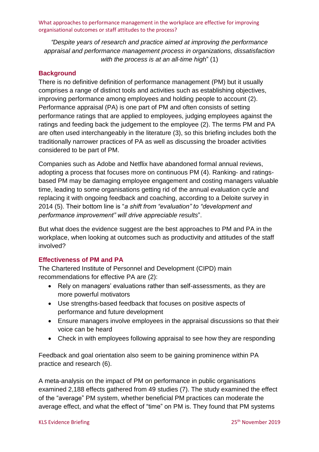*"Despite years of research and practice aimed at improving the performance appraisal and performance management process in organizations, dissatisfaction with the process is at an all-time high*" [\(1\)](#page-10-0)

#### **Background**

There is no definitive definition of performance management (PM) but it usually comprises a range of distinct tools and activities such as establishing objectives, improving performance among employees and holding people to account [\(2\)](#page-10-1). Performance appraisal (PA) is one part of PM and often consists of setting performance ratings that are applied to employees, judging employees against the ratings and feeding back the judgement to the employee [\(2\)](#page-10-1). The terms PM and PA are often used interchangeably in the literature [\(3\)](#page-10-2), so this briefing includes both the traditionally narrower practices of PA as well as discussing the broader activities considered to be part of PM.

Companies such as Adobe and Netflix have abandoned formal annual reviews, adopting a process that focuses more on continuous PM [\(4\)](#page-10-3). Ranking- and ratingsbased PM may be damaging employee engagement and costing managers valuable time, leading to some organisations getting rid of the annual evaluation cycle and replacing it with ongoing feedback and coaching, according to a Deloite survey in 2014 [\(5\)](#page-10-4). Their bottom line is "*a shift from "evaluation" to "development and performance improvement" will drive appreciable results*".

But what does the evidence suggest are the best approaches to PM and PA in the workplace, when looking at outcomes such as productivity and attitudes of the staff involved?

#### **Effectiveness of PM and PA**

The Chartered Institute of Personnel and Development (CIPD) main recommendations for effective PA are [\(2\)](#page-10-1):

- Rely on managers' evaluations rather than self-assessments, as they are more powerful motivators
- Use strengths-based feedback that focuses on positive aspects of performance and future development
- Ensure managers involve employees in the appraisal discussions so that their voice can be heard
- Check in with employees following appraisal to see how they are responding

Feedback and goal orientation also seem to be gaining prominence within PA practice and research [\(6\)](#page-10-5).

A meta-analysis on the impact of PM on performance in public organisations examined 2,188 effects gathered from 49 studies [\(7\)](#page-10-6). The study examined the effect of the "average" PM system, whether beneficial PM practices can moderate the average effect, and what the effect of "time" on PM is. They found that PM systems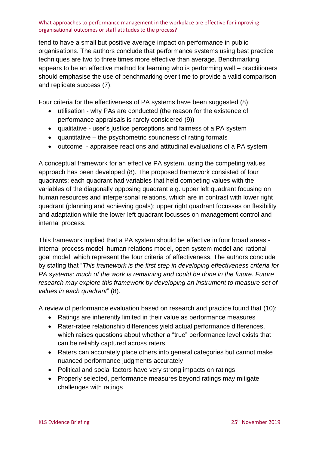tend to have a small but positive average impact on performance in public organisations. The authors conclude that performance systems using best practice techniques are two to three times more effective than average. Benchmarking appears to be an effective method for learning who is performing well – practitioners should emphasise the use of benchmarking over time to provide a valid comparison and replicate success [\(7\)](#page-10-6).

Four criteria for the effectiveness of PA systems have been suggested [\(8\)](#page-10-7):

- utilisation why PAs are conducted (the reason for the existence of performance appraisals is rarely considered [\(9\)](#page-10-8))
- qualitative user's justice perceptions and fairness of a PA system
- quantitative the psychometric soundness of rating formats
- outcome appraisee reactions and attitudinal evaluations of a PA system

A conceptual framework for an effective PA system, using the competing values approach has been developed [\(8\)](#page-10-7). The proposed framework consisted of four quadrants; each quadrant had variables that held competing values with the variables of the diagonally opposing quadrant e.g. upper left quadrant focusing on human resources and interpersonal relations, which are in contrast with lower right quadrant (planning and achieving goals); upper right quadrant focusses on flexibility and adaptation while the lower left quadrant focusses on management control and internal process.

This framework implied that a PA system should be effective in four broad areas internal process model, human relations model, open system model and rational goal model, which represent the four criteria of effectiveness. The authors conclude by stating that "*This framework is the first step in developing effectiveness criteria for PA systems; much of the work is remaining and could be done in the future. Future research may explore this framework by developing an instrument to measure set of values in each quadrant*" [\(8\)](#page-10-7).

A review of performance evaluation based on research and practice found that [\(10\)](#page-10-9):

- Ratings are inherently limited in their value as performance measures
- Rater-ratee relationship differences yield actual performance differences, which raises questions about whether a "true" performance level exists that can be reliably captured across raters
- Raters can accurately place others into general categories but cannot make nuanced performance judgments accurately
- Political and social factors have very strong impacts on ratings
- Properly selected, performance measures beyond ratings may mitigate challenges with ratings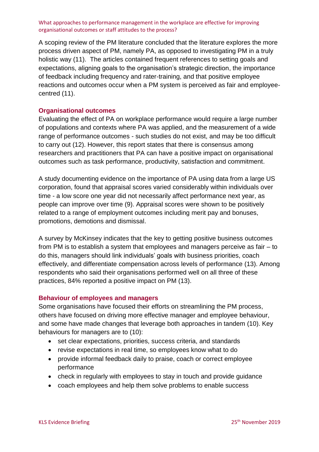A scoping review of the PM literature concluded that the literature explores the more process driven aspect of PM, namely PA, as opposed to investigating PM in a truly holistic way [\(11\)](#page-10-10). The articles contained frequent references to setting goals and expectations, aligning goals to the organisation's strategic direction, the importance of feedback including frequency and rater-training, and that positive employee reactions and outcomes occur when a PM system is perceived as fair and employeecentred [\(11\)](#page-10-10).

#### **Organisational outcomes**

Evaluating the effect of PA on workplace performance would require a large number of populations and contexts where PA was applied, and the measurement of a wide range of performance outcomes - such studies do not exist, and may be too difficult to carry out [\(12\)](#page-10-11). However, this report states that there is consensus among researchers and practitioners that PA can have a positive impact on organisational outcomes such as task performance, productivity, satisfaction and commitment.

A study documenting evidence on the importance of PA using data from a large US corporation, found that appraisal scores varied considerably within individuals over time - a low score one year did not necessarily affect performance next year, as people can improve over time [\(9\)](#page-10-8). Appraisal scores were shown to be positively related to a range of employment outcomes including merit pay and bonuses, promotions, demotions and dismissal.

A survey by McKinsey indicates that the key to getting positive business outcomes from PM is to establish a system that employees and managers perceive as fair – to do this, managers should link individuals' goals with business priorities, coach effectively, and differentiate compensation across levels of performance [\(13\)](#page-10-12). Among respondents who said their organisations performed well on all three of these practices, 84% reported a positive impact on PM [\(13\)](#page-10-12).

#### **Behaviour of employees and managers**

Some organisations have focused their efforts on streamlining the PM process, others have focused on driving more effective manager and employee behaviour, and some have made changes that leverage both approaches in tandem [\(10\)](#page-10-9). Key behaviours for managers are to [\(10\)](#page-10-9):

- set clear expectations, priorities, success criteria, and standards
- revise expectations in real time, so employees know what to do
- provide informal feedback daily to praise, coach or correct employee performance
- check in regularly with employees to stay in touch and provide guidance
- coach employees and help them solve problems to enable success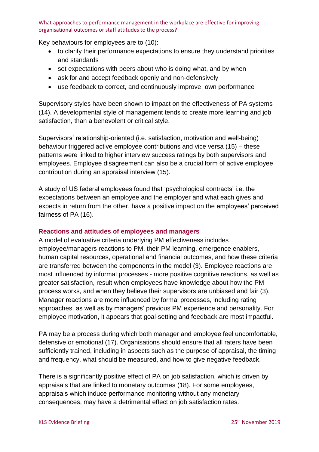Key behaviours for employees are to [\(10\)](#page-10-9):

- to clarify their performance expectations to ensure they understand priorities and standards
- set expectations with peers about who is doing what, and by when
- ask for and accept feedback openly and non-defensively
- use feedback to correct, and continuously improve, own performance

Supervisory styles have been shown to impact on the effectiveness of PA systems [\(14\)](#page-11-0). A developmental style of management tends to create more learning and job satisfaction, than a benevolent or critical style.

Supervisors' relationship-oriented (i.e. satisfaction, motivation and well-being) behaviour triggered active employee contributions and vice versa [\(15\)](#page-11-1) – these patterns were linked to higher interview success ratings by both supervisors and employees. Employee disagreement can also be a crucial form of active employee contribution during an appraisal interview [\(15\)](#page-11-1).

A study of US federal employees found that 'psychological contracts' i.e. the expectations between an employee and the employer and what each gives and expects in return from the other, have a positive impact on the employees' perceived fairness of PA [\(16\)](#page-11-2).

#### **Reactions and attitudes of employees and managers**

A model of evaluative criteria underlying PM effectiveness includes employee/managers reactions to PM, their PM learning, emergence enablers, human capital resources, operational and financial outcomes, and how these criteria are transferred between the components in the model [\(3\)](#page-10-2). Employee reactions are most influenced by informal processes - more positive cognitive reactions, as well as greater satisfaction, result when employees have knowledge about how the PM process works, and when they believe their supervisors are unbiased and fair [\(3\)](#page-10-2). Manager reactions are more influenced by formal processes, including rating approaches, as well as by managers' previous PM experience and personality. For employee motivation, it appears that goal-setting and feedback are most impactful.

PA may be a process during which both manager and employee feel uncomfortable, defensive or emotional [\(17\)](#page-11-3). Organisations should ensure that all raters have been sufficiently trained, including in aspects such as the purpose of appraisal, the timing and frequency, what should be measured, and how to give negative feedback.

There is a significantly positive effect of PA on job satisfaction, which is driven by appraisals that are linked to monetary outcomes [\(18\)](#page-11-4). For some employees, appraisals which induce performance monitoring without any monetary consequences, may have a detrimental effect on job satisfaction rates.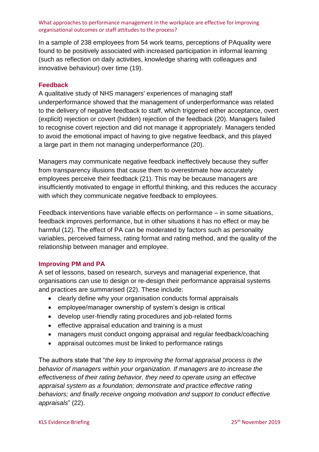In a sample of 238 employees from 54 work teams, perceptions of PAquality were found to be positively associated with increased participation in informal learning (such as reflection on daily activities, knowledge sharing with colleagues and innovative behaviour) over time [\(19\)](#page-11-5).

#### **Feedback**

A qualitative study of NHS managers' experiences of managing staff underperformance showed that the management of underperformance was related to the delivery of negative feedback to staff, which triggered either acceptance, overt (explicit) rejection or covert (hidden) rejection of the feedback [\(20\)](#page-11-6). Managers failed to recognise covert rejection and did not manage it appropriately. Managers tended to avoid the emotional impact of having to give negative feedback, and this played a large part in them not managing underperformance [\(20\)](#page-11-6).

Managers may communicate negative feedback ineffectively because they suffer from transparency illusions that cause them to overestimate how accurately employees perceive their feedback [\(21\)](#page-11-7). This may be because managers are insufficiently motivated to engage in effortful thinking, and this reduces the accuracy with which they communicate negative feedback to employees.

Feedback interventions have variable effects on performance – in some situations, feedback improves performance, but in other situations it has no effect or may be harmful [\(12\)](#page-10-11). The effect of PA can be moderated by factors such as personality variables, perceived fairness, rating format and rating method, and the quality of the relationship between manager and employee.

#### **Improving PM and PA**

A set of lessons, based on research, surveys and managerial experience, that organisations can use to design or re-design their performance appraisal systems and practices are summarised [\(22\)](#page-11-8). These include:

- clearly define why your organisation conducts formal appraisals
- employee/manager ownership of system's design is critical
- develop user-friendly rating procedures and job-related forms
- effective appraisal education and training is a must
- managers must conduct ongoing appraisal and regular feedback/coaching
- appraisal outcomes must be linked to performance ratings

The authors state that "*the key to improving the formal appraisal process is the behavior of managers within your organization. If managers are to increase the effectiveness of their rating behavior, they need to operate using an effective appraisal system as a foundation; demonstrate and practice effective rating behaviors; and finally receive ongoing motivation and support to conduct effective appraisals*" [\(22\)](#page-11-8).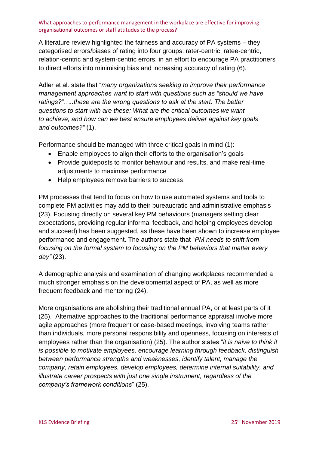A literature review highlighted the fairness and accuracy of PA systems – they categorised errors/biases of rating into four groups: rater-centric, ratee-centric, relation-centric and system-centric errors, in an effort to encourage PA practitioners to direct efforts into minimising bias and increasing accuracy of rating [\(6\)](#page-10-5).

Adler et al. state that "*many organizations seeking to improve their performance management approaches want to start with questions such as "should we have ratings?"…..these are the wrong questions to ask at the start. The better questions to start with are these: What are the critical outcomes we want to achieve, and how can we best ensure employees deliver against key goals and outcomes?"* [\(1\)](#page-10-0).

Performance should be managed with three critical goals in mind [\(1\)](#page-10-0):

- Enable employees to align their efforts to the organisation's goals
- Provide guideposts to monitor behaviour and results, and make real-time adjustments to maximise performance
- Help employees remove barriers to success

PM processes that tend to focus on how to use automated systems and tools to complete PM activities may add to their bureaucratic and administrative emphasis [\(23\)](#page-11-9). Focusing directly on several key PM behaviours (managers setting clear expectations, providing regular informal feedback, and helping employees develop and succeed) has been suggested, as these have been shown to increase employee performance and engagement. The authors state that "*PM needs to shift from focusing on the formal system to focusing on the PM behaviors that matter every day"* [\(23\)](#page-11-9).

A demographic analysis and examination of changing workplaces recommended a much stronger emphasis on the developmental aspect of PA, as well as more frequent feedback and mentoring [\(24\)](#page-11-10).

More organisations are abolishing their traditional annual PA, or at least parts of it [\(25\)](#page-11-11). Alternative approaches to the traditional performance appraisal involve more agile approaches (more frequent or case-based meetings, involving teams rather than individuals, more personal responsibility and openness, focusing on interests of employees rather than the organisation) [\(25\)](#page-11-11). The author states "*it is naive to think it is possible to motivate employees, encourage learning through feedback, distinguish between performance strengths and weaknesses, identify talent, manage the company, retain employees, develop employees, determine internal suitability, and illustrate career prospects with just one single instrument, regardless of the company's framework conditions*" [\(25\)](#page-11-11).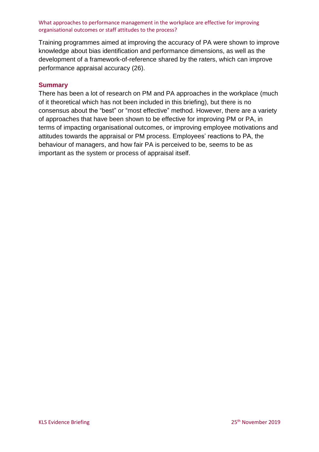Training programmes aimed at improving the accuracy of PA were shown to improve knowledge about bias identification and performance dimensions, as well as the development of a framework-of-reference shared by the raters, which can improve performance appraisal accuracy [\(26\)](#page-11-12).

#### **Summary**

There has been a lot of research on PM and PA approaches in the workplace (much of it theoretical which has not been included in this briefing), but there is no consensus about the "best" or "most effective" method. However, there are a variety of approaches that have been shown to be effective for improving PM or PA, in terms of impacting organisational outcomes, or improving employee motivations and attitudes towards the appraisal or PM process. Employees' reactions to PA, the behaviour of managers, and how fair PA is perceived to be, seems to be as important as the system or process of appraisal itself.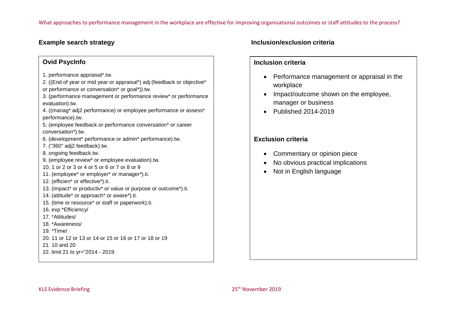### **Ovid PsycInfo**

- 1. performance appraisal\*.tw.
- 2. ((End of year or mid year or appraisal\*) adj (feedback or objective\* or performance or conversation\* or goal\*)).tw.
- 3. (performance management or performance review\* or performance evaluation).tw.
- 4. ((manag\* adj2 performance) or employee performance or assess\* performance).tw.
- 5. (employee feedback or performance conversation\* or career conversation\*).tw.
- 6. (development\* performance or admin\* performance).tw.
- 7. ("360" adj2 feedback).tw.
- 8. ongoing feedback.tw.
- 9. (employee review\* or employee evaluation).tw.
- 10. 1 or 2 or 3 or 4 or 5 or 6 or 7 or 8 or 9
- 11. (employee\* or employer\* or manager\*).ti.
- 12. (efficien\* or effective\*).ti.
- 13. (impact\* or productiv\* or value or purpose or outcome\*).ti.
- 14. (attitude\* or approach\* or aware\*).ti.
- 15. (time or resource\* or staff or paperwork).ti.
- 16. exp \*Efficiency/
- 17. \*Attitudes/
- 18. \*Awareness/
- 19. \*Time/
- 20. 11 or 12 or 13 or 14 or 15 or 16 or 17 or 18 or 19
- 21. 10 and 20
- 22. limit 21 to yr="2014 2019

# **Example search strategy Inclusion/exclusion criteria**

#### **Inclusion criteria**

- Performance management or appraisal in the workplace
- Impact/outcome shown on the employee, manager or business
- Published 2014-2019

# **Exclusion criteria**

- Commentary or opinion piece
- No obvious practical implications
- Not in English language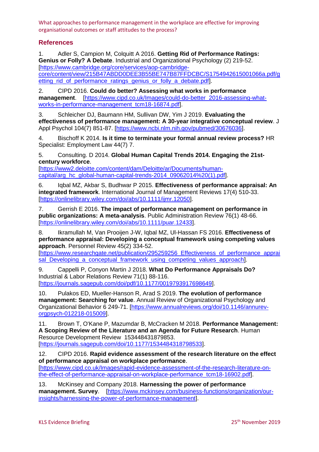# **References**

<span id="page-10-0"></span>1. Adler S, Campion M, Colquitt A 2016. **Getting Rid of Performance Ratings: Genius or Folly? A Debate**. Industrial and Organizational Psychology (2) 219-52. [\[https://www.cambridge.org/core/services/aop-cambridge](https://www.cambridge.org/core/services/aop-cambridge-core/content/view/215B47ABDD0DEE3B55BE747B87FFDCBC/S1754942615001066a.pdf/getting_rid_of_performance_ratings_genius_or_folly_a_debate.pdf)[core/content/view/215B47ABDD0DEE3B55BE747B87FFDCBC/S1754942615001066a.pdf/g](https://www.cambridge.org/core/services/aop-cambridge-core/content/view/215B47ABDD0DEE3B55BE747B87FFDCBC/S1754942615001066a.pdf/getting_rid_of_performance_ratings_genius_or_folly_a_debate.pdf) etting rid of performance ratings genius or folly a debate.pdf].

<span id="page-10-1"></span>2. CIPD 2016. **Could do better? Assessing what works in performance management**. [\[https://www.cipd.co.uk/Images/could-do-better\\_2016-assessing-what](https://www.cipd.co.uk/Images/could-do-better_2016-assessing-what-works-in-performance-management_tcm18-16874.pdf)[works-in-performance-management\\_tcm18-16874.pdf\]](https://www.cipd.co.uk/Images/could-do-better_2016-assessing-what-works-in-performance-management_tcm18-16874.pdf).

<span id="page-10-2"></span>3. Schleicher DJ, Baumann HM, Sullivan DW, Yim J 2019. **Evaluating the effectiveness of performance management: A 30-year integrative conceptual review**. J Appl Psychol 104(7) 851-87. [\[https://www.ncbi.nlm.nih.gov/pubmed/30676036\]](https://www.ncbi.nlm.nih.gov/pubmed/30676036).

<span id="page-10-3"></span>4. Bischoff K 2014. **Is it time to terminate your formal annual review process?** HR Specialist: Employment Law 44(7) 7.

<span id="page-10-4"></span>5. Consulting. D 2014. **Global Human Capital Trends 2014. Engaging the 21stcentury workforce**.

[\[https://www2.deloitte.com/content/dam/Deloitte/ar/Documents/human](https://www2.deloitte.com/content/dam/Deloitte/ar/Documents/human-capital/arg_hc_global-human-capital-trends-2014_09062014%20(1).pdf)capital/arg\_hc\_global-human-capital-trends-2014\_09062014%20(1).pdf.

<span id="page-10-5"></span>6. Iqbal MZ, Akbar S, Budhwar P 2015. **Effectiveness of performance appraisal: An integrated framework**. International Journal of Management Reviews 17(4) 510-33. [\[https://onlinelibrary.wiley.com/doi/abs/10.1111/ijmr.12050\]](https://onlinelibrary.wiley.com/doi/abs/10.1111/ijmr.12050).

<span id="page-10-6"></span>7. Gerrish E 2016. **The impact of performance management on performance in public organizations: A meta-analysis**. Public Administration Review 76(1) 48-66. [\[https://onlinelibrary.wiley.com/doi/abs/10.1111/puar.12433\]](https://onlinelibrary.wiley.com/doi/abs/10.1111/puar.12433).

<span id="page-10-7"></span>8. Ikramullah M, Van Prooijen J-W, Iqbal MZ, Ul-Hassan FS 2016. **Effectiveness of performance appraisal: Developing a conceptual framework using competing values approach**. Personnel Review 45(2) 334-52.

[\[https://www.researchgate.net/publication/295259256\\_Effectiveness\\_of\\_performance\\_apprai](https://www.researchgate.net/publication/295259256_Effectiveness_of_performance_appraisal_Developing_a_conceptual_framework_using_competing_values_approach) sal Developing a conceptual framework using competing values approach].

<span id="page-10-8"></span>9. Cappelli P, Conyon Martin J 2018. **What Do Performance Appraisals Do?** Industrial & Labor Relations Review 71(1) 88-116. [\[https://journals.sagepub.com/doi/pdf/10.1177/0019793917698649\]](https://journals.sagepub.com/doi/pdf/10.1177/0019793917698649).

<span id="page-10-9"></span>10. Pulakos ED, Mueller-Hanson R, Arad S 2019. **The evolution of performance management: Searching for value**. Annual Review of Organizational Psychology and Organizational Behavior 6 249-71. [\[https://www.annualreviews.org/doi/10.1146/annurev](https://www.annualreviews.org/doi/10.1146/annurev-orgpsych-012218-015009)[orgpsych-012218-015009\]](https://www.annualreviews.org/doi/10.1146/annurev-orgpsych-012218-015009).

<span id="page-10-10"></span>11. Brown T, O'Kane P, Mazumdar B, McCracken M 2018. **Performance Management: A Scoping Review of the Literature and an Agenda for Future Research**. Human Resource Development Review 153448431879853. [\[https://journals.sagepub.com/doi/10.1177/1534484318798533\]](https://journals.sagepub.com/doi/10.1177/1534484318798533).

<span id="page-10-11"></span>12. CIPD 2016. **Rapid evidence assessment of the research literature on the effect of performance appraisal on workplace performance**.

[\[https://www.cipd.co.uk/Images/rapid-evidence-assessment-of-the-research-literature-on](https://www.cipd.co.uk/Images/rapid-evidence-assessment-of-the-research-literature-on-the-effect-of-performance-appraisal-on-workplace-performance_tcm18-16902.pdf)[the-effect-of-performance-appraisal-on-workplace-performance\\_tcm18-16902.pdf\]](https://www.cipd.co.uk/Images/rapid-evidence-assessment-of-the-research-literature-on-the-effect-of-performance-appraisal-on-workplace-performance_tcm18-16902.pdf).

<span id="page-10-12"></span>13. McKinsey and Company 2018. **Harnessing the power of performance management. Survey**. [\[https://www.mckinsey.com/business-functions/organization/our](https://www.mckinsey.com/business-functions/organization/our-insights/harnessing-the-power-of-performance-management)[insights/harnessing-the-power-of-performance-management\]](https://www.mckinsey.com/business-functions/organization/our-insights/harnessing-the-power-of-performance-management).